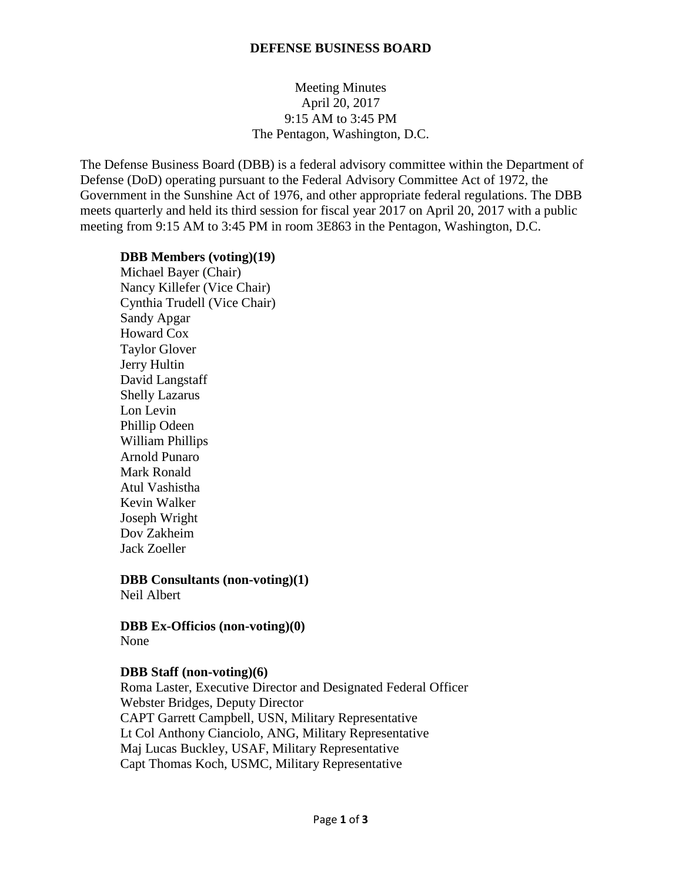#### **DEFENSE BUSINESS BOARD**

## Meeting Minutes April 20, 2017 9:15 AM to 3:45 PM The Pentagon, Washington, D.C.

The Defense Business Board (DBB) is a federal advisory committee within the Department of Defense (DoD) operating pursuant to the Federal Advisory Committee Act of 1972, the Government in the Sunshine Act of 1976, and other appropriate federal regulations. The DBB meets quarterly and held its third session for fiscal year 2017 on April 20, 2017 with a public meeting from 9:15 AM to 3:45 PM in room 3E863 in the Pentagon, Washington, D.C.

#### **DBB Members (voting)(19)**

Michael Bayer (Chair) Nancy Killefer (Vice Chair) Cynthia Trudell (Vice Chair) Sandy Apgar Howard Cox Taylor Glover Jerry Hultin David Langstaff Shelly Lazarus Lon Levin Phillip Odeen William Phillips Arnold Punaro Mark Ronald Atul Vashistha Kevin Walker Joseph Wright Dov Zakheim Jack Zoeller

# **DBB Consultants (non-voting)(1)**

Neil Albert

**DBB Ex-Officios (non-voting)(0)** None

#### **DBB Staff (non-voting)(6)**

Roma Laster, Executive Director and Designated Federal Officer Webster Bridges, Deputy Director CAPT Garrett Campbell, USN, Military Representative Lt Col Anthony Cianciolo, ANG, Military Representative Maj Lucas Buckley, USAF, Military Representative Capt Thomas Koch, USMC, Military Representative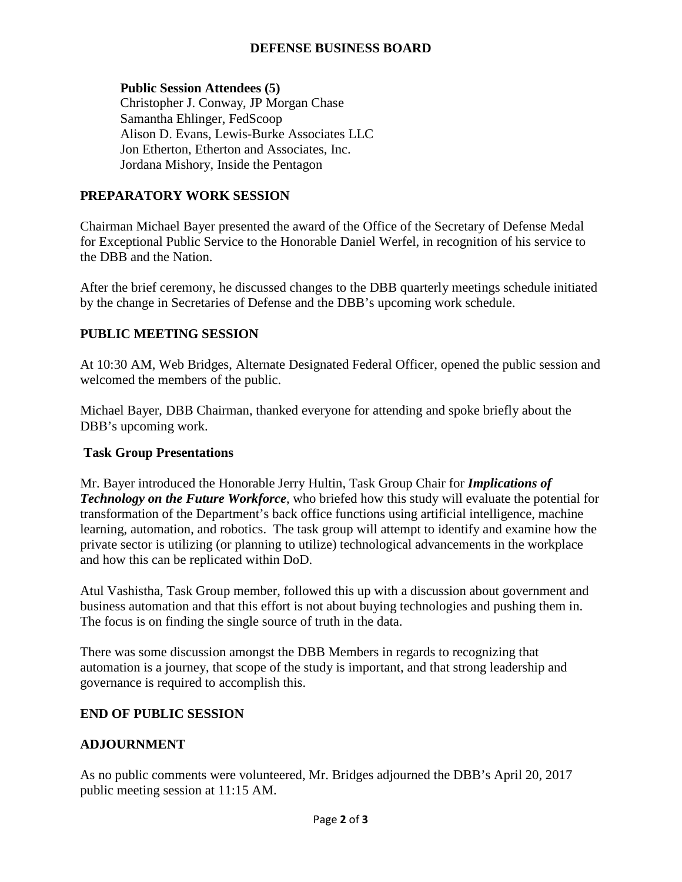## **DEFENSE BUSINESS BOARD**

### **Public Session Attendees (5)**

Christopher J. Conway, JP Morgan Chase Samantha Ehlinger, FedScoop Alison D. Evans, Lewis-Burke Associates LLC Jon Etherton, Etherton and Associates, Inc. Jordana Mishory, Inside the Pentagon

# **PREPARATORY WORK SESSION**

Chairman Michael Bayer presented the award of the Office of the Secretary of Defense Medal for Exceptional Public Service to the Honorable Daniel Werfel, in recognition of his service to the DBB and the Nation.

After the brief ceremony, he discussed changes to the DBB quarterly meetings schedule initiated by the change in Secretaries of Defense and the DBB's upcoming work schedule.

## **PUBLIC MEETING SESSION**

At 10:30 AM, Web Bridges, Alternate Designated Federal Officer, opened the public session and welcomed the members of the public.

Michael Bayer, DBB Chairman, thanked everyone for attending and spoke briefly about the DBB's upcoming work.

#### **Task Group Presentations**

Mr. Bayer introduced the Honorable Jerry Hultin, Task Group Chair for *Implications of Technology on the Future Workforce*, who briefed how this study will evaluate the potential for transformation of the Department's back office functions using artificial intelligence, machine learning, automation, and robotics. The task group will attempt to identify and examine how the private sector is utilizing (or planning to utilize) technological advancements in the workplace and how this can be replicated within DoD.

Atul Vashistha, Task Group member, followed this up with a discussion about government and business automation and that this effort is not about buying technologies and pushing them in. The focus is on finding the single source of truth in the data.

There was some discussion amongst the DBB Members in regards to recognizing that automation is a journey, that scope of the study is important, and that strong leadership and governance is required to accomplish this.

# **END OF PUBLIC SESSION**

#### **ADJOURNMENT**

As no public comments were volunteered, Mr. Bridges adjourned the DBB's April 20, 2017 public meeting session at 11:15 AM.